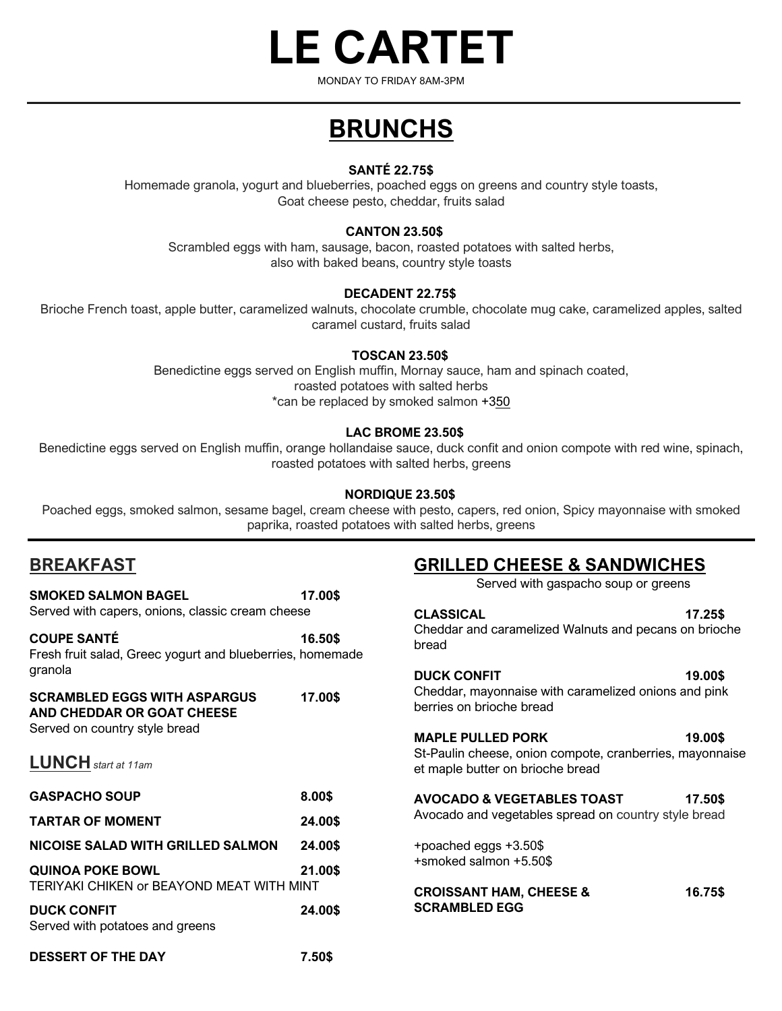

MONDAY TO FRIDAY 8AM-3PM

# **BRUNCHS**

### **SANTÉ 22.75\$**

Homemade granola, yogurt and blueberries, poached eggs on greens and country style toasts, Goat cheese pesto, cheddar, fruits salad

### **CANTON 23.50\$**

Scrambled eggs with ham, sausage, bacon, roasted potatoes with salted herbs, also with baked beans, country style toasts

#### **DECADENT 22.75\$**

Brioche French toast, apple butter, caramelized walnuts, chocolate crumble, chocolate mug cake, caramelized apples, salted caramel custard, fruits salad

#### **TOSCAN 23.50\$**

Benedictine eggs served on English muffin, Mornay sauce, ham and spinach coated, roasted potatoes with salted herbs \*can be replaced by smoked salmon +350

### **LAC BROME 23.50\$**

Benedictine eggs served on English muffin, orange hollandaise sauce, duck confit and onion compote with red wine, spinach, roasted potatoes with salted herbs, greens

#### **NORDIQUE 23.50\$**

Poached eggs, smoked salmon, sesame bagel, cream cheese with pesto, capers, red onion, Spicy mayonnaise with smoked paprika, roasted potatoes with salted herbs, greens

### **BREAKFAST**

| <b>SMOKED SALMON BAGEL</b><br>Served with capers, onions, classic cream cheese                            | 17.00\$ |
|-----------------------------------------------------------------------------------------------------------|---------|
| <b>COUPE SANTÉ</b><br>Fresh fruit salad, Greec yogurt and blueberries, homemade<br>granola                | 16.50\$ |
| <b>SCRAMBLED EGGS WITH ASPARGUS</b><br><b>AND CHEDDAR OR GOAT CHEESE</b><br>Served on country style bread | 17.00\$ |
| <b>LUNCH</b> start at 11am                                                                                |         |
| <b>GASPACHO SOUP</b>                                                                                      | 8.00\$  |
| <b>TARTAR OF MOMENT</b>                                                                                   | 24.00\$ |
| <b>NICOISE SALAD WITH GRILLED SALMON</b>                                                                  | 24.00\$ |
| <b>QUINOA POKE BOWL</b><br>TERIYAKI CHIKEN or BEAYOND MEAT WITH MINT                                      | 21.00\$ |
| <b>DUCK CONFIT</b><br>Served with potatoes and greens                                                     | 24.00\$ |
| <b>DESSERT OF THE DAY</b>                                                                                 | 7.50\$  |

### **GRILLED CHEESE & SANDWICHES**

Served with gaspacho soup or greens

| <b>CLASSICAL</b>                                      | 17.25\$ |
|-------------------------------------------------------|---------|
| Cheddar and caramelized Walnuts and pecans on brioche |         |
| bread                                                 |         |

#### **DUCK CONFIT 19.00\$**

Cheddar, mayonnaise with caramelized onions and pink

berries on brioche bread

#### **MAPLE PULLED PORK 19.00\$**

St-Paulin cheese, onion compote, cranberries, mayonnaise et maple butter on brioche bread

### **AVOCADO & VEGETABLES TOAST 17.50\$**

Avocado and vegetables spread on country style bread

+poached eggs +3.50\$ +smoked salmon +5.50\$

| <b>CROISSANT HAM, CHEESE &amp;</b> | 16.75\$ |
|------------------------------------|---------|
| <b>SCRAMBLED EGG</b>               |         |